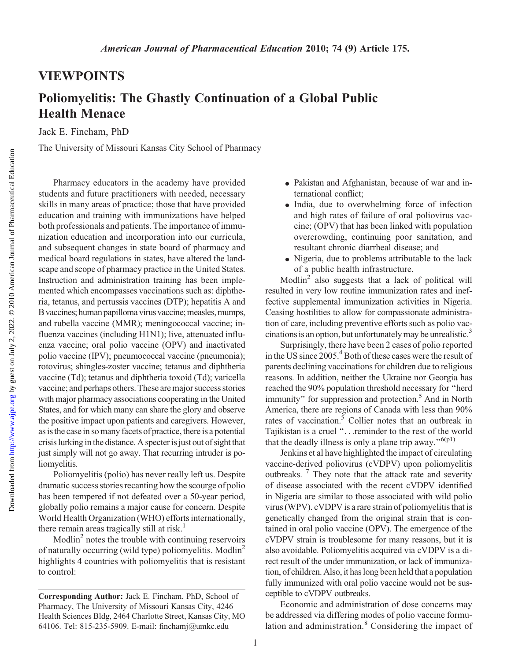## VIEWPOINTS

## Poliomyelitis: The Ghastly Continuation of a Global Public Health Menace

Jack E. Fincham, PhD

The University of Missouri Kansas City School of Pharmacy

Pharmacy educators in the academy have provided students and future practitioners with needed, necessary skills in many areas of practice; those that have provided education and training with immunizations have helped both professionals and patients. The importance of immunization education and incorporation into our curricula, and subsequent changes in state board of pharmacy and medical board regulations in states, have altered the landscape and scope of pharmacy practice in the United States. Instruction and administration training has been implemented which encompasses vaccinations such as: diphtheria, tetanus, and pertussis vaccines (DTP); hepatitis A and B vaccines; human papilloma virus vaccine; measles, mumps, and rubella vaccine (MMR); meningococcal vaccine; influenza vaccines (including H1N1); live, attenuated influenza vaccine; oral polio vaccine (OPV) and inactivated polio vaccine (IPV); pneumococcal vaccine (pneumonia); rotovirus; shingles-zoster vaccine; tetanus and diphtheria vaccine (Td); tetanus and diphtheria toxoid (Td); varicella vaccine; and perhaps others. These are major success stories with major pharmacy associations cooperating in the United States, and for which many can share the glory and observe the positive impact upon patients and caregivers. However, as is the case in so many facets of practice, there is a potential crisis lurking inthe distance. A specteris just out of sight that just simply will not go away. That recurring intruder is poliomyelitis.

Poliomyelitis (polio) has never really left us. Despite dramatic success stories recanting how the scourge of polio has been tempered if not defeated over a 50-year period, globally polio remains a major cause for concern. Despite World Health Organization (WHO) efforts internationally, there remain areas tragically still at risk.<sup>1</sup>

Modlin<sup>2</sup> notes the trouble with continuing reservoirs of naturally occurring (wild type) poliomyelitis. Modlin2 highlights 4 countries with poliomyelitis that is resistant to control:

- Pakistan and Afghanistan, because of war and international conflict;
- India, due to overwhelming force of infection and high rates of failure of oral poliovirus vaccine; (OPV) that has been linked with population overcrowding, continuing poor sanitation, and resultant chronic diarrheal disease; and
- Nigeria, due to problems attributable to the lack of a public health infrastructure.

Modlin<sup>2</sup> also suggests that a lack of political will resulted in very low routine immunization rates and ineffective supplemental immunization activities in Nigeria. Ceasing hostilities to allow for compassionate administration of care, including preventive efforts such as polio vaccinations is an option, but unfortunately may be unrealistic.<sup>3</sup>

Surprisingly, there have been 2 cases of polio reported in the US since 2005.<sup>4</sup> Both of these cases were the result of parents declining vaccinations for children due to religious reasons. In addition, neither the Ukraine nor Georgia has reached the 90% population threshold necessary for ''herd immunity" for suppression and protection.<sup>5</sup> And in North America, there are regions of Canada with less than 90% rates of vaccination.<sup>5</sup> Collier notes that an outbreak in Tajikistan is a cruel ''...reminder to the rest of the world that the deadly illness is only a plane trip away." $^{6(p1)}$ 

Jenkins et al have highlighted the impact of circulating vaccine-derived poliovirus (cVDPV) upon poliomyelitis outbreaks.<sup>7</sup> They note that the attack rate and severity of disease associated with the recent cVDPV identified in Nigeria are similar to those associated with wild polio virus (WPV). cVDPV is a rare strain of poliomyelitis that is genetically changed from the original strain that is contained in oral polio vaccine (OPV). The emergence of the cVDPV strain is troublesome for many reasons, but it is also avoidable. Poliomyelitis acquired via cVDPV is a direct result of the under immunization, or lack of immunization, of children. Also, it has long been held that a population fully immunized with oral polio vaccine would not be susceptible to cVDPV outbreaks.

Economic and administration of dose concerns may be addressed via differing modes of polio vaccine formulation and administration.<sup>8</sup> Considering the impact of

Corresponding Author: Jack E. Fincham, PhD, School of Pharmacy, The University of Missouri Kansas City, 4246 Health Sciences Bldg, 2464 Charlotte Street, Kansas City, MO 64106. Tel: 815-235-5909. E-mail: finchamj@umkc.edu